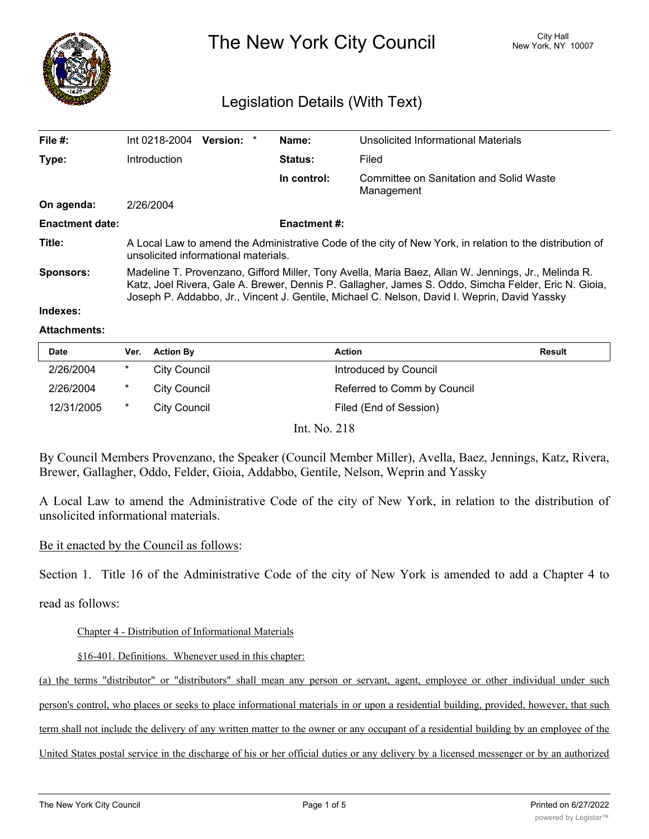

The New York City Council New York, NY 10007

# Legislation Details (With Text)

| File #:                | Int 0218-2004<br><b>Version:</b><br>*                                                                                                                                                                                                                                                                       | Name:              | Unsolicited Informational Materials                   |  |
|------------------------|-------------------------------------------------------------------------------------------------------------------------------------------------------------------------------------------------------------------------------------------------------------------------------------------------------------|--------------------|-------------------------------------------------------|--|
| Type:                  | <b>Introduction</b>                                                                                                                                                                                                                                                                                         | <b>Status:</b>     | Filed                                                 |  |
|                        |                                                                                                                                                                                                                                                                                                             | In control:        | Committee on Sanitation and Solid Waste<br>Management |  |
| On agenda:             | 2/26/2004                                                                                                                                                                                                                                                                                                   |                    |                                                       |  |
| <b>Enactment date:</b> |                                                                                                                                                                                                                                                                                                             | <b>Enactment#:</b> |                                                       |  |
| Title:                 | A Local Law to amend the Administrative Code of the city of New York, in relation to the distribution of<br>unsolicited informational materials.                                                                                                                                                            |                    |                                                       |  |
| <b>Sponsors:</b>       | Madeline T. Provenzano, Gifford Miller, Tony Avella, Maria Baez, Allan W. Jennings, Jr., Melinda R.<br>Katz, Joel Rivera, Gale A. Brewer, Dennis P. Gallagher, James S. Oddo, Simcha Felder, Eric N. Gioia,<br>Joseph P. Addabbo, Jr., Vincent J. Gentile, Michael C. Nelson, David I. Weprin, David Yassky |                    |                                                       |  |

## **Indexes:**

#### **Attachments:**

| <b>Date</b>  | Ver.   | <b>Action By</b> | <b>Action</b>               | <b>Result</b> |  |
|--------------|--------|------------------|-----------------------------|---------------|--|
| 2/26/2004    | *      | City Council     | Introduced by Council       |               |  |
| 2/26/2004    | $\ast$ | City Council     | Referred to Comm by Council |               |  |
| 12/31/2005   | $\ast$ | City Council     | Filed (End of Session)      |               |  |
| Int. No. 218 |        |                  |                             |               |  |

By Council Members Provenzano, the Speaker (Council Member Miller), Avella, Baez, Jennings, Katz, Rivera, Brewer, Gallagher, Oddo, Felder, Gioia, Addabbo, Gentile, Nelson, Weprin and Yassky

A Local Law to amend the Administrative Code of the city of New York, in relation to the distribution of unsolicited informational materials.

# Be it enacted by the Council as follows:

Section 1. Title 16 of the Administrative Code of the city of New York is amended to add a Chapter 4 to

read as follows:

Chapter 4 - Distribution of Informational Materials

§16-401. Definitions. Whenever used in this chapter:

(a) the terms "distributor" or "distributors" shall mean any person or servant, agent, employee or other individual under such person's control, who places or seeks to place informational materials in or upon a residential building, provided, however, that such term shall not include the delivery of any written matter to the owner or any occupant of a residential building by an employee of the

United States postal service in the discharge of his or her official duties or any delivery by a licensed messenger or by an authorized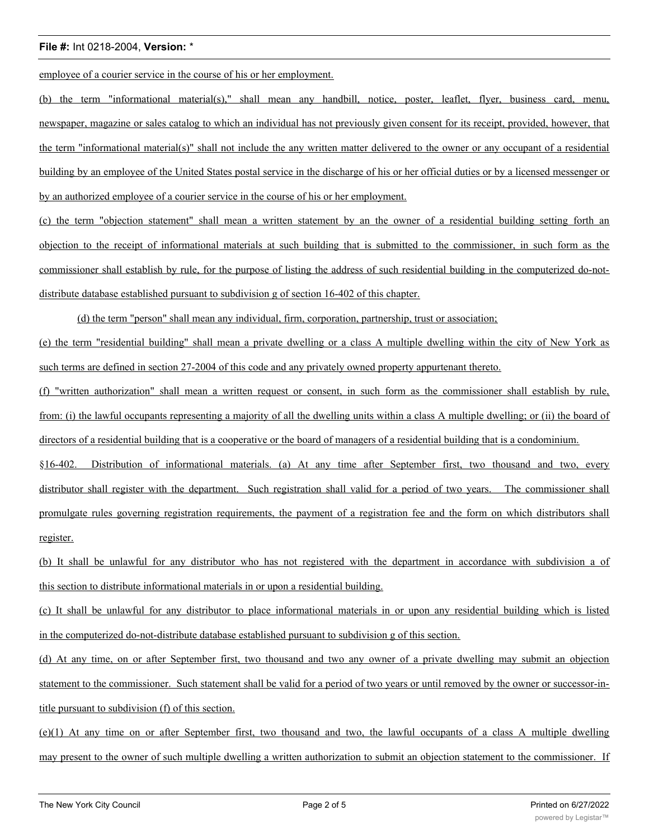employee of a courier service in the course of his or her employment.

(b) the term "informational material(s)," shall mean any handbill, notice, poster, leaflet, flyer, business card, menu, newspaper, magazine or sales catalog to which an individual has not previously given consent for its receipt, provided, however, that the term "informational material(s)" shall not include the any written matter delivered to the owner or any occupant of a residential building by an employee of the United States postal service in the discharge of his or her official duties or by a licensed messenger or by an authorized employee of a courier service in the course of his or her employment.

(c) the term "objection statement" shall mean a written statement by an the owner of a residential building setting forth an objection to the receipt of informational materials at such building that is submitted to the commissioner, in such form as the commissioner shall establish by rule, for the purpose of listing the address of such residential building in the computerized do-notdistribute database established pursuant to subdivision g of section 16-402 of this chapter.

(d) the term "person" shall mean any individual, firm, corporation, partnership, trust or association;

(e) the term "residential building" shall mean a private dwelling or a class A multiple dwelling within the city of New York as such terms are defined in section 27-2004 of this code and any privately owned property appurtenant thereto.

(f) "written authorization" shall mean a written request or consent, in such form as the commissioner shall establish by rule, from: (i) the lawful occupants representing a majority of all the dwelling units within a class A multiple dwelling; or (ii) the board of directors of a residential building that is a cooperative or the board of managers of a residential building that is a condominium.

§16-402. Distribution of informational materials. (a) At any time after September first, two thousand and two, every distributor shall register with the department. Such registration shall valid for a period of two years. The commissioner shall promulgate rules governing registration requirements, the payment of a registration fee and the form on which distributors shall register.

(b) It shall be unlawful for any distributor who has not registered with the department in accordance with subdivision a of this section to distribute informational materials in or upon a residential building.

(c) It shall be unlawful for any distributor to place informational materials in or upon any residential building which is listed in the computerized do-not-distribute database established pursuant to subdivision g of this section.

(d) At any time, on or after September first, two thousand and two any owner of a private dwelling may submit an objection statement to the commissioner. Such statement shall be valid for a period of two years or until removed by the owner or successor-intitle pursuant to subdivision (f) of this section.

(e)(1) At any time on or after September first, two thousand and two, the lawful occupants of a class A multiple dwelling may present to the owner of such multiple dwelling a written authorization to submit an objection statement to the commissioner. If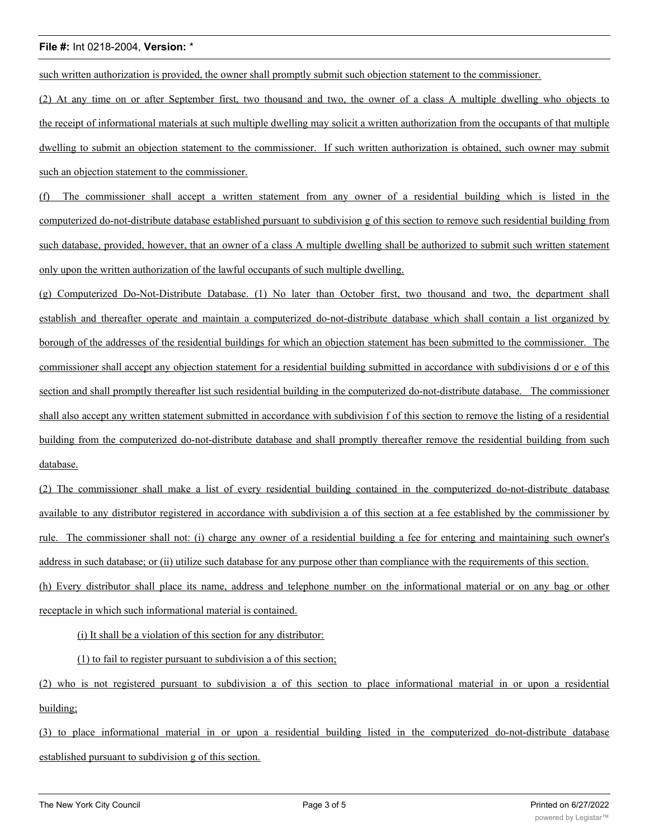such written authorization is provided, the owner shall promptly submit such objection statement to the commissioner.

(2) At any time on or after September first, two thousand and two, the owner of a class A multiple dwelling who objects to the receipt of informational materials at such multiple dwelling may solicit a written authorization from the occupants of that multiple dwelling to submit an objection statement to the commissioner. If such written authorization is obtained, such owner may submit such an objection statement to the commissioner.

(f) The commissioner shall accept a written statement from any owner of a residential building which is listed in the computerized do-not-distribute database established pursuant to subdivision g of this section to remove such residential building from such database, provided, however, that an owner of a class A multiple dwelling shall be authorized to submit such written statement only upon the written authorization of the lawful occupants of such multiple dwelling.

(g) Computerized Do-Not-Distribute Database. (1) No later than October first, two thousand and two, the department shall establish and thereafter operate and maintain a computerized do-not-distribute database which shall contain a list organized by borough of the addresses of the residential buildings for which an objection statement has been submitted to the commissioner. The commissioner shall accept any objection statement for a residential building submitted in accordance with subdivisions d or e of this section and shall promptly thereafter list such residential building in the computerized do-not-distribute database. The commissioner shall also accept any written statement submitted in accordance with subdivision f of this section to remove the listing of a residential building from the computerized do-not-distribute database and shall promptly thereafter remove the residential building from such database.

(2) The commissioner shall make a list of every residential building contained in the computerized do-not-distribute database available to any distributor registered in accordance with subdivision a of this section at a fee established by the commissioner by rule. The commissioner shall not: (i) charge any owner of a residential building a fee for entering and maintaining such owner's address in such database; or (ii) utilize such database for any purpose other than compliance with the requirements of this section. (h) Every distributor shall place its name, address and telephone number on the informational material or on any bag or other receptacle in which such informational material is contained.

(i) It shall be a violation of this section for any distributor:

(1) to fail to register pursuant to subdivision a of this section;

(2) who is not registered pursuant to subdivision a of this section to place informational material in or upon a residential building;

(3) to place informational material in or upon a residential building listed in the computerized do-not-distribute database established pursuant to subdivision g of this section.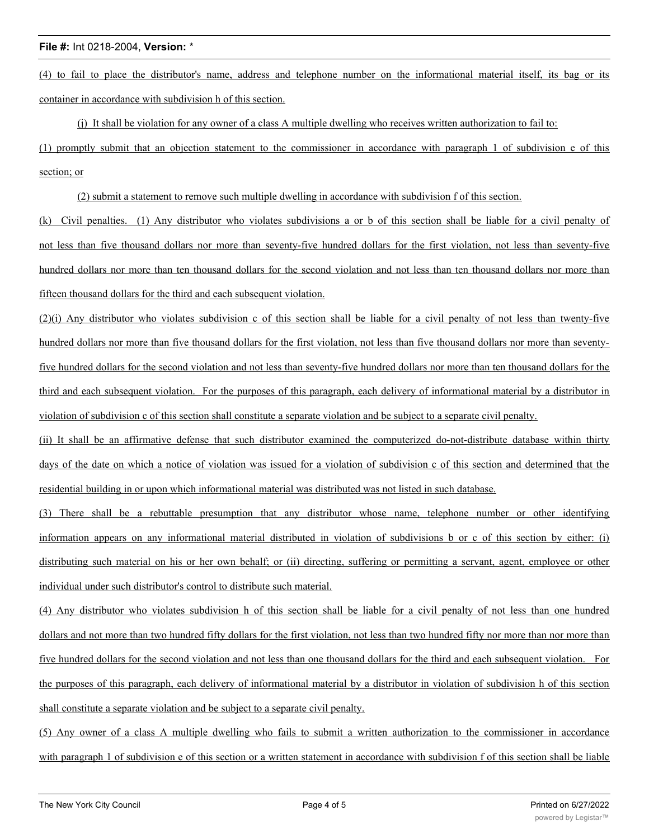(4) to fail to place the distributor's name, address and telephone number on the informational material itself, its bag or its container in accordance with subdivision h of this section.

(j) It shall be violation for any owner of a class A multiple dwelling who receives written authorization to fail to:

(1) promptly submit that an objection statement to the commissioner in accordance with paragraph 1 of subdivision e of this section; or

(2) submit a statement to remove such multiple dwelling in accordance with subdivision f of this section.

(k) Civil penalties. (1) Any distributor who violates subdivisions a or b of this section shall be liable for a civil penalty of not less than five thousand dollars nor more than seventy-five hundred dollars for the first violation, not less than seventy-five hundred dollars nor more than ten thousand dollars for the second violation and not less than ten thousand dollars nor more than fifteen thousand dollars for the third and each subsequent violation.

(2)(i) Any distributor who violates subdivision c of this section shall be liable for a civil penalty of not less than twenty-five hundred dollars nor more than five thousand dollars for the first violation, not less than five thousand dollars nor more than seventyfive hundred dollars for the second violation and not less than seventy-five hundred dollars nor more than ten thousand dollars for the third and each subsequent violation. For the purposes of this paragraph, each delivery of informational material by a distributor in violation of subdivision c of this section shall constitute a separate violation and be subject to a separate civil penalty.

(ii) It shall be an affirmative defense that such distributor examined the computerized do-not-distribute database within thirty days of the date on which a notice of violation was issued for a violation of subdivision c of this section and determined that the residential building in or upon which informational material was distributed was not listed in such database.

(3) There shall be a rebuttable presumption that any distributor whose name, telephone number or other identifying information appears on any informational material distributed in violation of subdivisions b or c of this section by either: (i) distributing such material on his or her own behalf; or (ii) directing, suffering or permitting a servant, agent, employee or other individual under such distributor's control to distribute such material.

(4) Any distributor who violates subdivision h of this section shall be liable for a civil penalty of not less than one hundred dollars and not more than two hundred fifty dollars for the first violation, not less than two hundred fifty nor more than nor more than five hundred dollars for the second violation and not less than one thousand dollars for the third and each subsequent violation. For the purposes of this paragraph, each delivery of informational material by a distributor in violation of subdivision h of this section shall constitute a separate violation and be subject to a separate civil penalty.

(5) Any owner of a class A multiple dwelling who fails to submit a written authorization to the commissioner in accordance with paragraph 1 of subdivision e of this section or a written statement in accordance with subdivision f of this section shall be liable